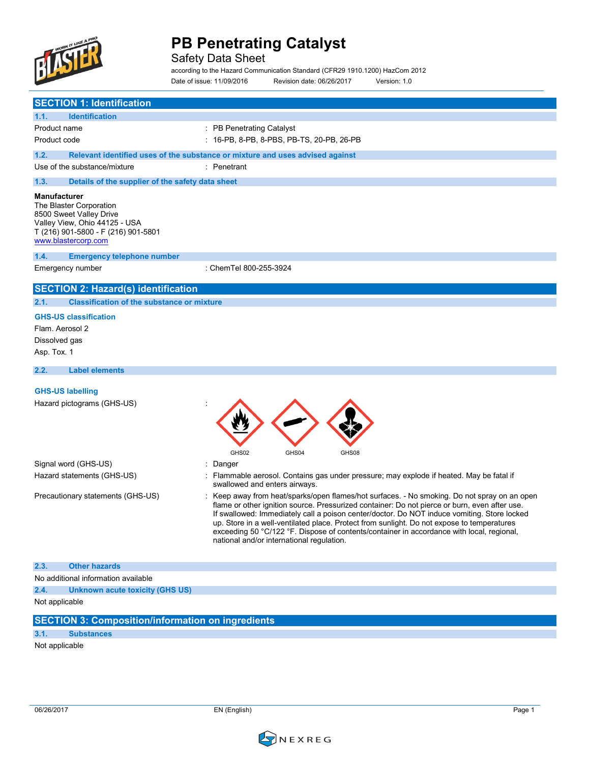

Safety Data Sheet

according to the Hazard Communication Standard (CFR29 1910.1200) HazCom 2012 Date of issue: 11/09/2016 Revision date: 06/26/2017 Version: 1.0

|                                                                                                  | <b>SECTION 1: Identification</b>                                     |                                                                                                                                                                                                                                                                                                                                                                                                                                                                                                                                    |
|--------------------------------------------------------------------------------------------------|----------------------------------------------------------------------|------------------------------------------------------------------------------------------------------------------------------------------------------------------------------------------------------------------------------------------------------------------------------------------------------------------------------------------------------------------------------------------------------------------------------------------------------------------------------------------------------------------------------------|
| 1.1.                                                                                             | <b>Identification</b>                                                |                                                                                                                                                                                                                                                                                                                                                                                                                                                                                                                                    |
| Product name                                                                                     |                                                                      | : PB Penetrating Catalyst                                                                                                                                                                                                                                                                                                                                                                                                                                                                                                          |
| Product code                                                                                     |                                                                      | : 16-PB, 8-PB, 8-PBS, PB-TS, 20-PB, 26-PB                                                                                                                                                                                                                                                                                                                                                                                                                                                                                          |
| 1.2.                                                                                             |                                                                      | Relevant identified uses of the substance or mixture and uses advised against                                                                                                                                                                                                                                                                                                                                                                                                                                                      |
|                                                                                                  | Use of the substance/mixture                                         | : Penetrant                                                                                                                                                                                                                                                                                                                                                                                                                                                                                                                        |
| 1.3.                                                                                             | Details of the supplier of the safety data sheet                     |                                                                                                                                                                                                                                                                                                                                                                                                                                                                                                                                    |
| <b>Manufacturer</b><br>The Blaster Corporation<br>8500 Sweet Valley Drive<br>www.blastercorp.com | Valley View, Ohio 44125 - USA<br>T (216) 901-5800 - F (216) 901-5801 |                                                                                                                                                                                                                                                                                                                                                                                                                                                                                                                                    |
| 1.4.                                                                                             | <b>Emergency telephone number</b>                                    |                                                                                                                                                                                                                                                                                                                                                                                                                                                                                                                                    |
| Emergency number                                                                                 |                                                                      | : ChemTel 800-255-3924                                                                                                                                                                                                                                                                                                                                                                                                                                                                                                             |
|                                                                                                  | <b>SECTION 2: Hazard(s) identification</b>                           |                                                                                                                                                                                                                                                                                                                                                                                                                                                                                                                                    |
| 2.1.                                                                                             | <b>Classification of the substance or mixture</b>                    |                                                                                                                                                                                                                                                                                                                                                                                                                                                                                                                                    |
| <b>GHS-US classification</b><br>Flam. Aerosol 2<br>Dissolved gas<br>Asp. Tox. 1                  |                                                                      |                                                                                                                                                                                                                                                                                                                                                                                                                                                                                                                                    |
| 2.2.                                                                                             | <b>Label elements</b>                                                |                                                                                                                                                                                                                                                                                                                                                                                                                                                                                                                                    |
|                                                                                                  |                                                                      |                                                                                                                                                                                                                                                                                                                                                                                                                                                                                                                                    |
| <b>GHS-US labelling</b>                                                                          | Hazard pictograms (GHS-US)                                           | GHS02<br>GHS04<br>GHS08                                                                                                                                                                                                                                                                                                                                                                                                                                                                                                            |
| Signal word (GHS-US)                                                                             |                                                                      | : Danger                                                                                                                                                                                                                                                                                                                                                                                                                                                                                                                           |
|                                                                                                  | Hazard statements (GHS-US)                                           | : Flammable aerosol. Contains gas under pressure; may explode if heated. May be fatal if<br>swallowed and enters airways.                                                                                                                                                                                                                                                                                                                                                                                                          |
|                                                                                                  | Precautionary statements (GHS-US)                                    | Keep away from heat/sparks/open flames/hot surfaces. - No smoking. Do not spray on an open<br>flame or other ignition source. Pressurized container: Do not pierce or burn, even after use.<br>If swallowed: Immediately call a poison center/doctor. Do NOT induce vomiting. Store locked<br>up. Store in a well-ventilated place. Protect from sunlight. Do not expose to temperatures<br>exceeding 50 °C/122 °F. Dispose of contents/container in accordance with local, regional,<br>national and/or international regulation. |
| 2.3.                                                                                             | <b>Other hazards</b>                                                 |                                                                                                                                                                                                                                                                                                                                                                                                                                                                                                                                    |
|                                                                                                  | No additional information available                                  |                                                                                                                                                                                                                                                                                                                                                                                                                                                                                                                                    |
| 2.4.                                                                                             | Unknown acute toxicity (GHS US)                                      |                                                                                                                                                                                                                                                                                                                                                                                                                                                                                                                                    |
|                                                                                                  |                                                                      |                                                                                                                                                                                                                                                                                                                                                                                                                                                                                                                                    |
| Not applicable                                                                                   |                                                                      |                                                                                                                                                                                                                                                                                                                                                                                                                                                                                                                                    |
|                                                                                                  | <b>SECTION 3: Composition/information on ingredients</b>             |                                                                                                                                                                                                                                                                                                                                                                                                                                                                                                                                    |

Not applicable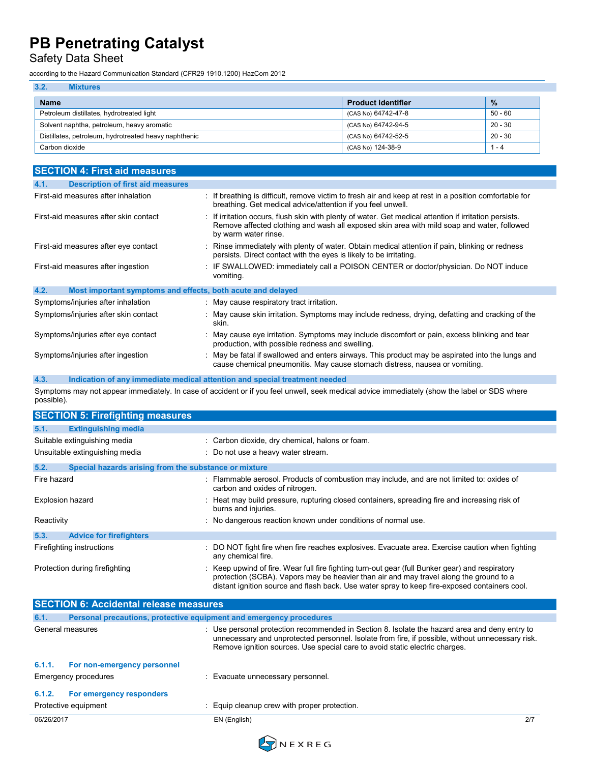## Safety Data Sheet

according to the Hazard Communication Standard (CFR29 1910.1200) HazCom 2012

| 3.2.<br><b>Mixtures</b>                                                       |                           |               |
|-------------------------------------------------------------------------------|---------------------------|---------------|
| <b>Name</b>                                                                   | <b>Product identifier</b> | $\frac{0}{2}$ |
| $50 - 60$<br>Petroleum distillates, hydrotreated light<br>(CAS No) 64742-47-8 |                           |               |
| Solvent naphtha, petroleum, heavy aromatic                                    | (CAS No) 64742-94-5       | $20 - 30$     |
| Distillates, petroleum, hydrotreated heavy naphthenic                         | (CAS No) 64742-52-5       | $20 - 30$     |
| Carbon dioxide<br>(CAS No) 124-38-9                                           |                           | 1 - 4         |

| <b>SECTION 4: First aid measures</b>                                |                                                                                                                                                                                                                              |  |  |
|---------------------------------------------------------------------|------------------------------------------------------------------------------------------------------------------------------------------------------------------------------------------------------------------------------|--|--|
| <b>Description of first aid measures</b><br>4.1.                    |                                                                                                                                                                                                                              |  |  |
| First-aid measures after inhalation                                 | : If breathing is difficult, remove victim to fresh air and keep at rest in a position comfortable for<br>breathing. Get medical advice/attention if you feel unwell.                                                        |  |  |
| First-aid measures after skin contact                               | : If irritation occurs, flush skin with plenty of water. Get medical attention if irritation persists.<br>Remove affected clothing and wash all exposed skin area with mild soap and water, followed<br>by warm water rinse. |  |  |
| First-aid measures after eye contact                                | : Rinse immediately with plenty of water. Obtain medical attention if pain, blinking or redness<br>persists. Direct contact with the eyes is likely to be irritating.                                                        |  |  |
| First-aid measures after ingestion                                  | : IF SWALLOWED: immediately call a POISON CENTER or doctor/physician. Do NOT induce<br>vomiting.                                                                                                                             |  |  |
| 4.2.<br>Most important symptoms and effects, both acute and delayed |                                                                                                                                                                                                                              |  |  |
| Symptoms/injuries after inhalation                                  | : May cause respiratory tract irritation.                                                                                                                                                                                    |  |  |
| Symptoms/injuries after skin contact                                | : May cause skin irritation. Symptoms may include redness, drying, defatting and cracking of the<br>skin.                                                                                                                    |  |  |
| Symptoms/injuries after eye contact                                 | : May cause eye irritation. Symptoms may include discomfort or pain, excess blinking and tear<br>production, with possible redness and swelling.                                                                             |  |  |
| Symptoms/injuries after ingestion                                   | : May be fatal if swallowed and enters airways. This product may be aspirated into the lungs and<br>cause chemical pneumonitis. May cause stomach distress, nausea or vomiting.                                              |  |  |

### **4.3. Indication of any immediate medical attention and special treatment needed**

Symptoms may not appear immediately. In case of accident or if you feel unwell, seek medical advice immediately (show the label or SDS where possible).

|             | <b>SECTION 5: Firefighting measures</b>               |                                                                                                                                                                                                                                                                                            |  |  |
|-------------|-------------------------------------------------------|--------------------------------------------------------------------------------------------------------------------------------------------------------------------------------------------------------------------------------------------------------------------------------------------|--|--|
| 5.1.        | <b>Extinguishing media</b>                            |                                                                                                                                                                                                                                                                                            |  |  |
|             | Suitable extinguishing media                          | : Carbon dioxide, dry chemical, halons or foam.                                                                                                                                                                                                                                            |  |  |
|             | Unsuitable extinguishing media                        | : Do not use a heavy water stream.                                                                                                                                                                                                                                                         |  |  |
| 5.2.        | Special hazards arising from the substance or mixture |                                                                                                                                                                                                                                                                                            |  |  |
| Fire hazard |                                                       | : Flammable aerosol. Products of combustion may include, and are not limited to: oxides of<br>carbon and oxides of nitrogen.                                                                                                                                                               |  |  |
|             | <b>Explosion hazard</b>                               | : Heat may build pressure, rupturing closed containers, spreading fire and increasing risk of<br>burns and injuries.                                                                                                                                                                       |  |  |
| Reactivity  |                                                       | : No dangerous reaction known under conditions of normal use.                                                                                                                                                                                                                              |  |  |
| 5.3.        | <b>Advice for firefighters</b>                        |                                                                                                                                                                                                                                                                                            |  |  |
|             | Firefighting instructions                             | : DO NOT fight fire when fire reaches explosives. Evacuate area. Exercise caution when fighting<br>any chemical fire.                                                                                                                                                                      |  |  |
|             | Protection during firefighting                        | : Keep upwind of fire. Wear full fire fighting turn-out gear (full Bunker gear) and respiratory<br>protection (SCBA). Vapors may be heavier than air and may travel along the ground to a<br>distant ignition source and flash back. Use water spray to keep fire-exposed containers cool. |  |  |

| <b>SECTION 6: Accidental release measures</b> |                                                                     |                                                                                                                                                                                                                                                                                  |     |
|-----------------------------------------------|---------------------------------------------------------------------|----------------------------------------------------------------------------------------------------------------------------------------------------------------------------------------------------------------------------------------------------------------------------------|-----|
| 6.1.                                          | Personal precautions, protective equipment and emergency procedures |                                                                                                                                                                                                                                                                                  |     |
|                                               | General measures                                                    | : Use personal protection recommended in Section 8. Isolate the hazard area and deny entry to<br>unnecessary and unprotected personnel. Isolate from fire, if possible, without unnecessary risk.<br>Remove ignition sources. Use special care to avoid static electric charges. |     |
| 6.1.1.                                        | For non-emergency personnel<br>Emergency procedures                 | : Evacuate unnecessary personnel.                                                                                                                                                                                                                                                |     |
| 6.1.2.                                        | For emergency responders                                            |                                                                                                                                                                                                                                                                                  |     |
|                                               | Protective equipment                                                | : Equip cleanup crew with proper protection.                                                                                                                                                                                                                                     |     |
| 06/26/2017                                    |                                                                     | EN (English)                                                                                                                                                                                                                                                                     | 2/7 |

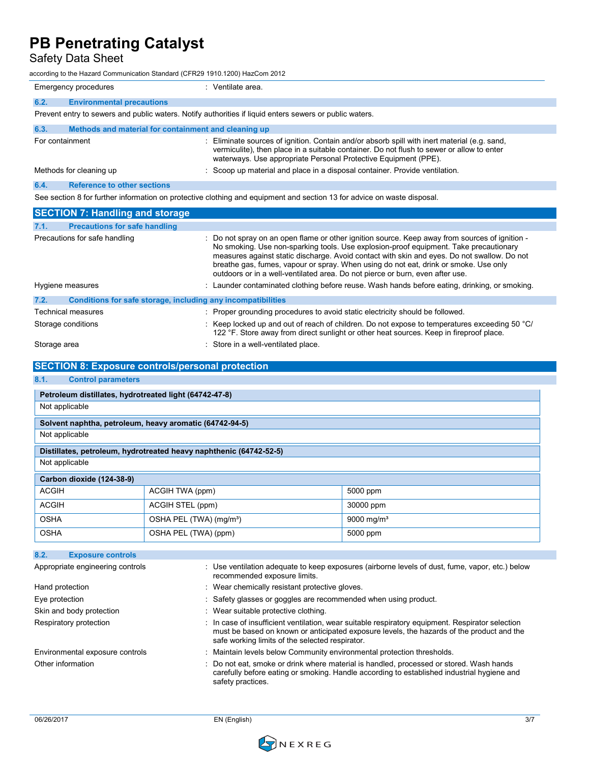Safety Data Sheet

according to the Hazard Communication Standard (CFR29 1910.1200) HazCom 2012

|                                                                                                                         | Emergency procedures                                                                                    | : Ventilate area.                                                                                                                                                                                                                                            |  |
|-------------------------------------------------------------------------------------------------------------------------|---------------------------------------------------------------------------------------------------------|--------------------------------------------------------------------------------------------------------------------------------------------------------------------------------------------------------------------------------------------------------------|--|
| 6.2.                                                                                                                    | <b>Environmental precautions</b>                                                                        |                                                                                                                                                                                                                                                              |  |
|                                                                                                                         | Prevent entry to sewers and public waters. Notify authorities if liquid enters sewers or public waters. |                                                                                                                                                                                                                                                              |  |
| 6.3.                                                                                                                    | Methods and material for containment and cleaning up                                                    |                                                                                                                                                                                                                                                              |  |
| For containment                                                                                                         |                                                                                                         | : Eliminate sources of ignition. Contain and/or absorb spill with inert material (e.g. sand,<br>vermiculite), then place in a suitable container. Do not flush to sewer or allow to enter<br>waterways. Use appropriate Personal Protective Equipment (PPE). |  |
|                                                                                                                         | Methods for cleaning up                                                                                 | : Scoop up material and place in a disposal container. Provide ventilation.                                                                                                                                                                                  |  |
| 6.4.                                                                                                                    | <b>Reference to other sections</b>                                                                      |                                                                                                                                                                                                                                                              |  |
| See section 8 for further information on protective clothing and equipment and section 13 for advice on waste disposal. |                                                                                                         |                                                                                                                                                                                                                                                              |  |

| <b>SECTION 7: Handling and storage</b>                               |                                                                                                                                                                                                                                                                                                                                                                                                                                                                 |
|----------------------------------------------------------------------|-----------------------------------------------------------------------------------------------------------------------------------------------------------------------------------------------------------------------------------------------------------------------------------------------------------------------------------------------------------------------------------------------------------------------------------------------------------------|
| 7.1.<br><b>Precautions for safe handling</b>                         |                                                                                                                                                                                                                                                                                                                                                                                                                                                                 |
| Precautions for safe handling                                        | : Do not spray on an open flame or other ignition source. Keep away from sources of ignition -<br>No smoking. Use non-sparking tools. Use explosion-proof equipment. Take precautionary<br>measures against static discharge. Avoid contact with skin and eyes. Do not swallow. Do not<br>breathe gas, fumes, vapour or spray. When using do not eat, drink or smoke. Use only<br>outdoors or in a well-ventilated area. Do not pierce or burn, even after use. |
| Hygiene measures                                                     | : Launder contaminated clothing before reuse. Wash hands before eating, drinking, or smoking.                                                                                                                                                                                                                                                                                                                                                                   |
| 7.2.<br>Conditions for safe storage, including any incompatibilities |                                                                                                                                                                                                                                                                                                                                                                                                                                                                 |
| Technical measures                                                   | : Proper grounding procedures to avoid static electricity should be followed.                                                                                                                                                                                                                                                                                                                                                                                   |
| Storage conditions                                                   | : Keep locked up and out of reach of children. Do not expose to temperatures exceeding 50 $^{\circ}$ C/<br>122 °F. Store away from direct sunlight or other heat sources. Keep in fireproof place.                                                                                                                                                                                                                                                              |
| Storage area                                                         | : Store in a well-ventilated place.                                                                                                                                                                                                                                                                                                                                                                                                                             |

| <b>SECTION 8: Exposure controls/personal protection</b> |                                                                    |                                                                                                 |  |
|---------------------------------------------------------|--------------------------------------------------------------------|-------------------------------------------------------------------------------------------------|--|
| 8.1.<br><b>Control parameters</b>                       |                                                                    |                                                                                                 |  |
| Petroleum distillates, hydrotreated light (64742-47-8)  |                                                                    |                                                                                                 |  |
| Not applicable                                          |                                                                    |                                                                                                 |  |
|                                                         | Solvent naphtha, petroleum, heavy aromatic (64742-94-5)            |                                                                                                 |  |
| Not applicable                                          |                                                                    |                                                                                                 |  |
|                                                         | Distillates, petroleum, hydrotreated heavy naphthenic (64742-52-5) |                                                                                                 |  |
| Not applicable                                          |                                                                    |                                                                                                 |  |
| Carbon dioxide (124-38-9)                               |                                                                    |                                                                                                 |  |
| <b>ACGIH</b>                                            | ACGIH TWA (ppm)                                                    | 5000 ppm                                                                                        |  |
| <b>ACGIH</b>                                            | ACGIH STEL (ppm)                                                   | 30000 ppm                                                                                       |  |
| <b>OSHA</b>                                             | OSHA PEL (TWA) (mg/m <sup>3</sup> )                                | 9000 mg/m <sup>3</sup>                                                                          |  |
| <b>OSHA</b>                                             | OSHA PEL (TWA) (ppm)                                               | 5000 ppm                                                                                        |  |
|                                                         |                                                                    |                                                                                                 |  |
| 8.2.<br><b>Exposure controls</b>                        |                                                                    |                                                                                                 |  |
| Appropriate engineering controls                        | recommended exposure limits.                                       | : Use ventilation adequate to keep exposures (airborne levels of dust, fume, vapor, etc.) below |  |
| Hand protection                                         | Wear chemically resistant protective gloves                        |                                                                                                 |  |

| <b>ICCOLINIICIQUE CAPOSULE INTINS.</b>                                                                                                                                                                                                           |
|--------------------------------------------------------------------------------------------------------------------------------------------------------------------------------------------------------------------------------------------------|
| : Wear chemically resistant protective gloves.                                                                                                                                                                                                   |
| : Safety glasses or goggles are recommended when using product.                                                                                                                                                                                  |
| : Wear suitable protective clothing.                                                                                                                                                                                                             |
| : In case of insufficient ventilation, wear suitable respiratory equipment. Respirator selection<br>must be based on known or anticipated exposure levels, the hazards of the product and the<br>safe working limits of the selected respirator. |
| : Maintain levels below Community environmental protection thresholds.                                                                                                                                                                           |
| : Do not eat, smoke or drink where material is handled, processed or stored. Wash hands<br>carefully before eating or smoking. Handle according to established industrial hygiene and<br>safety practices.                                       |
|                                                                                                                                                                                                                                                  |

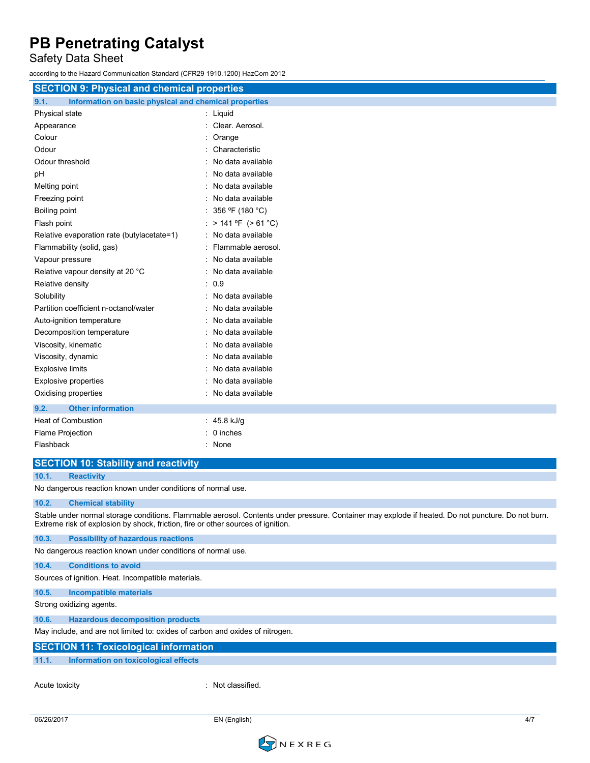Safety Data Sheet

according to the Hazard Communication Standard (CFR29 1910.1200) HazCom 2012

|                                                               | <b>SECTION 9: Physical and chemical properties</b> |  |  |
|---------------------------------------------------------------|----------------------------------------------------|--|--|
| 9.1.<br>Information on basic physical and chemical properties |                                                    |  |  |
| Physical state                                                | : Liquid                                           |  |  |
| Appearance                                                    | : Clear. Aerosol.                                  |  |  |
| Colour                                                        | Orange                                             |  |  |
| Odour                                                         | Characteristic                                     |  |  |
| Odour threshold                                               | No data available                                  |  |  |
| рH                                                            | No data available                                  |  |  |
| Melting point                                                 | No data available                                  |  |  |
| Freezing point                                                | No data available                                  |  |  |
| Boiling point                                                 | 356 °F (180 °C)                                    |  |  |
| Flash point                                                   | : > 141 °F (> 61 °C)                               |  |  |
| Relative evaporation rate (butylacetate=1)                    | : No data available                                |  |  |
| Flammability (solid, gas)                                     | Flammable aerosol.                                 |  |  |
| Vapour pressure                                               | No data available                                  |  |  |
| Relative vapour density at 20 °C                              | No data available                                  |  |  |
| Relative density                                              | : 0.9                                              |  |  |
| Solubility                                                    | No data available                                  |  |  |
| Partition coefficient n-octanol/water                         | No data available                                  |  |  |
| Auto-ignition temperature                                     | No data available                                  |  |  |
| Decomposition temperature                                     | No data available                                  |  |  |
| Viscosity, kinematic                                          | No data available                                  |  |  |
| Viscosity, dynamic                                            | No data available                                  |  |  |
| <b>Explosive limits</b>                                       | No data available                                  |  |  |
| <b>Explosive properties</b>                                   | No data available                                  |  |  |
| Oxidising properties                                          | No data available                                  |  |  |
| <b>Other information</b><br>9.2.                              |                                                    |  |  |
| <b>Heat of Combustion</b>                                     | : 45.8 kJ/g                                        |  |  |
| Flame Projection                                              | 0 inches                                           |  |  |
| Flashback                                                     | None                                               |  |  |
| <b>SECTION 10: Stability and reactivity</b>                   |                                                    |  |  |
| 10.1.<br><b>Reactivity</b>                                    |                                                    |  |  |
| No dangerous reaction known under conditions of normal use.   |                                                    |  |  |
| 10.2.<br><b>Chemical stability</b>                            |                                                    |  |  |

Stable under normal storage conditions. Flammable aerosol. Contents under pressure. Container may explode if heated. Do not puncture. Do not burn. Extreme risk of explosion by shock, friction, fire or other sources of ignition.

**10.3. Possibility of hazardous reactions** No dangerous reaction known under conditions of normal use.

### **10.4. Conditions to avoid**

Sources of ignition. Heat. Incompatible materials.

**10.5. Incompatible materials**

Strong oxidizing agents.

**10.6. Hazardous decomposition products**

May include, and are not limited to: oxides of carbon and oxides of nitrogen.

### **SECTION 11: Toxicological information**

**11.1. Information on toxicological effects**

Acute toxicity in the contract of the classified.

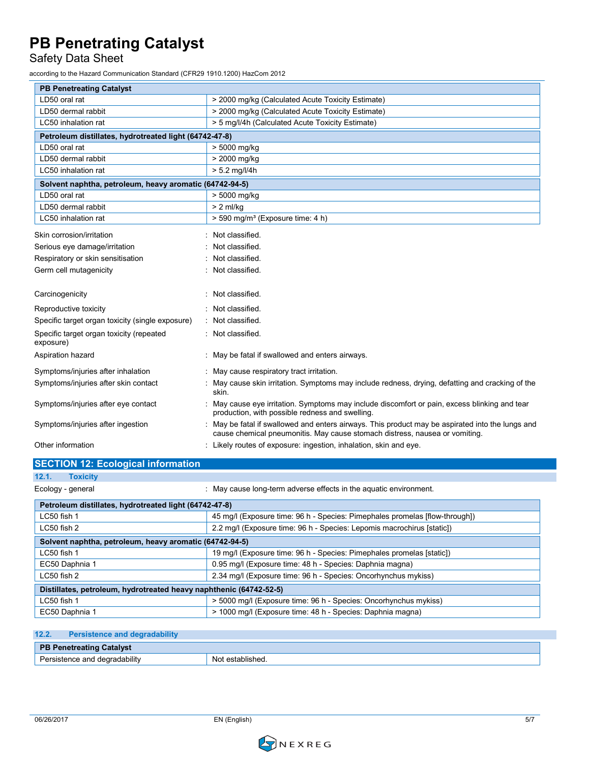Safety Data Sheet

according to the Hazard Communication Standard (CFR29 1910.1200) HazCom 2012

| <b>PB Penetreating Catalyst</b>                         |                                                                                                                                                                               |  |  |  |
|---------------------------------------------------------|-------------------------------------------------------------------------------------------------------------------------------------------------------------------------------|--|--|--|
| LD50 oral rat                                           | > 2000 mg/kg (Calculated Acute Toxicity Estimate)                                                                                                                             |  |  |  |
| LD50 dermal rabbit                                      | > 2000 mg/kg (Calculated Acute Toxicity Estimate)                                                                                                                             |  |  |  |
| LC50 inhalation rat                                     | > 5 mg/l/4h (Calculated Acute Toxicity Estimate)                                                                                                                              |  |  |  |
| Petroleum distillates, hydrotreated light (64742-47-8)  |                                                                                                                                                                               |  |  |  |
| LD50 oral rat                                           | > 5000 mg/kg                                                                                                                                                                  |  |  |  |
| LD50 dermal rabbit                                      | > 2000 mg/kg                                                                                                                                                                  |  |  |  |
| LC50 inhalation rat                                     | $> 5.2$ mg/l/4h                                                                                                                                                               |  |  |  |
| Solvent naphtha, petroleum, heavy aromatic (64742-94-5) |                                                                                                                                                                               |  |  |  |
| LD50 oral rat                                           | > 5000 mg/kg                                                                                                                                                                  |  |  |  |
| LD50 dermal rabbit                                      | $> 2$ ml/kg                                                                                                                                                                   |  |  |  |
| LC50 inhalation rat                                     | > 590 mg/m <sup>3</sup> (Exposure time: 4 h)                                                                                                                                  |  |  |  |
| Skin corrosion/irritation                               | Not classified.                                                                                                                                                               |  |  |  |
| Serious eye damage/irritation                           | Not classified.                                                                                                                                                               |  |  |  |
| Respiratory or skin sensitisation                       | Not classified.                                                                                                                                                               |  |  |  |
| Germ cell mutagenicity                                  | Not classified.                                                                                                                                                               |  |  |  |
| Carcinogenicity                                         | Not classified.                                                                                                                                                               |  |  |  |
| Reproductive toxicity                                   | Not classified.                                                                                                                                                               |  |  |  |
| Specific target organ toxicity (single exposure)        | Not classified.                                                                                                                                                               |  |  |  |
| Specific target organ toxicity (repeated<br>exposure)   | Not classified.                                                                                                                                                               |  |  |  |
| Aspiration hazard                                       | May be fatal if swallowed and enters airways.                                                                                                                                 |  |  |  |
| Symptoms/injuries after inhalation                      | May cause respiratory tract irritation.                                                                                                                                       |  |  |  |
| Symptoms/injuries after skin contact                    | May cause skin irritation. Symptoms may include redness, drying, defatting and cracking of the<br>skin.                                                                       |  |  |  |
| Symptoms/injuries after eye contact                     | May cause eye irritation. Symptoms may include discomfort or pain, excess blinking and tear<br>production, with possible redness and swelling.                                |  |  |  |
| Symptoms/injuries after ingestion                       | May be fatal if swallowed and enters airways. This product may be aspirated into the lungs and<br>cause chemical pneumonitis. May cause stomach distress, nausea or vomiting. |  |  |  |
| Other information                                       | : Likely routes of exposure: ingestion, inhalation, skin and eye.                                                                                                             |  |  |  |

| <b>SECTION 12: Ecological information</b>                                   |  |  |  |
|-----------------------------------------------------------------------------|--|--|--|
|                                                                             |  |  |  |
| : May cause long-term adverse effects in the aquatic environment.           |  |  |  |
| Petroleum distillates, hydrotreated light (64742-47-8)                      |  |  |  |
| 45 mg/l (Exposure time: 96 h - Species: Pimephales promelas [flow-through]) |  |  |  |
| 2.2 mg/l (Exposure time: 96 h - Species: Lepomis macrochirus [static])      |  |  |  |
| Solvent naphtha, petroleum, heavy aromatic (64742-94-5)                     |  |  |  |
| 19 mg/l (Exposure time: 96 h - Species: Pimephales promelas [static])       |  |  |  |
| 0.95 mg/l (Exposure time: 48 h - Species: Daphnia magna)                    |  |  |  |
| 2.34 mg/l (Exposure time: 96 h - Species: Oncorhynchus mykiss)              |  |  |  |
| Distillates, petroleum, hydrotreated heavy naphthenic (64742-52-5)          |  |  |  |
| > 5000 mg/l (Exposure time: 96 h - Species: Oncorhynchus mykiss)            |  |  |  |
| > 1000 mg/l (Exposure time: 48 h - Species: Daphnia magna)                  |  |  |  |
|                                                                             |  |  |  |

### **12.2. Persistence and degradability PB Penetreating Catalyst** Persistence and degradability Not established.

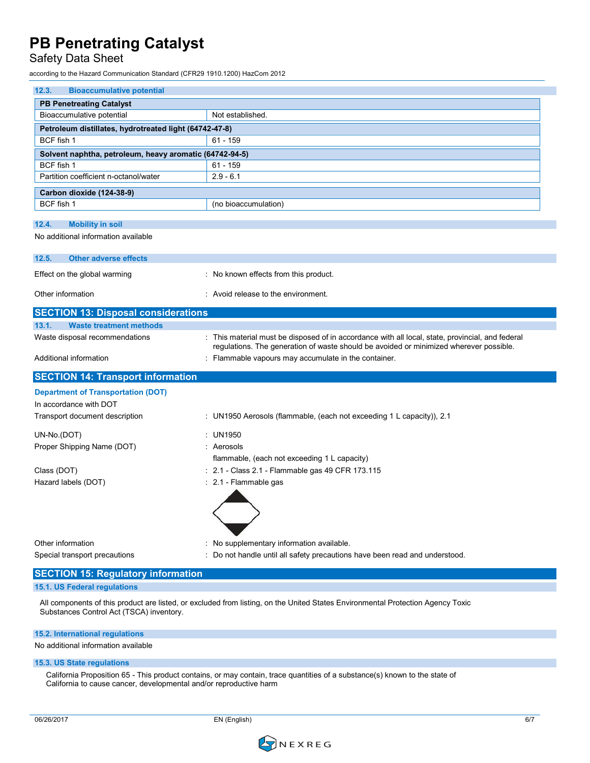### Safety Data Sheet

according to the Hazard Communication Standard (CFR29 1910.1200) HazCom 2012

| 12.3.<br><b>Bioaccumulative potential</b>               |                                                                                                                                 |  |  |  |  |
|---------------------------------------------------------|---------------------------------------------------------------------------------------------------------------------------------|--|--|--|--|
| <b>PB Penetreating Catalyst</b>                         |                                                                                                                                 |  |  |  |  |
| Bioaccumulative potential                               | Not established.                                                                                                                |  |  |  |  |
| Petroleum distillates, hydrotreated light (64742-47-8)  |                                                                                                                                 |  |  |  |  |
| BCF fish 1                                              | $61 - 159$                                                                                                                      |  |  |  |  |
| Solvent naphtha, petroleum, heavy aromatic (64742-94-5) |                                                                                                                                 |  |  |  |  |
| BCF fish 1                                              | $61 - 159$                                                                                                                      |  |  |  |  |
| Partition coefficient n-octanol/water                   | $2.9 - 6.1$                                                                                                                     |  |  |  |  |
| Carbon dioxide (124-38-9)                               |                                                                                                                                 |  |  |  |  |
| BCF fish 1                                              | (no bioaccumulation)                                                                                                            |  |  |  |  |
| 12.4.<br><b>Mobility in soil</b>                        |                                                                                                                                 |  |  |  |  |
| No additional information available                     |                                                                                                                                 |  |  |  |  |
|                                                         |                                                                                                                                 |  |  |  |  |
| <b>Other adverse effects</b><br>12.5.                   |                                                                                                                                 |  |  |  |  |
| Effect on the global warming                            | : No known effects from this product.                                                                                           |  |  |  |  |
|                                                         |                                                                                                                                 |  |  |  |  |
| Other information                                       | : Avoid release to the environment.                                                                                             |  |  |  |  |
| <b>SECTION 13: Disposal considerations</b>              |                                                                                                                                 |  |  |  |  |
| 13.1.<br><b>Waste treatment methods</b>                 |                                                                                                                                 |  |  |  |  |
| Waste disposal recommendations                          | : This material must be disposed of in accordance with all local, state, provincial, and federal                                |  |  |  |  |
|                                                         | regulations. The generation of waste should be avoided or minimized wherever possible.                                          |  |  |  |  |
| Additional information                                  | : Flammable vapours may accumulate in the container.                                                                            |  |  |  |  |
| <b>SECTION 14: Transport information</b>                |                                                                                                                                 |  |  |  |  |
| <b>Department of Transportation (DOT)</b>               |                                                                                                                                 |  |  |  |  |
| In accordance with DOT                                  |                                                                                                                                 |  |  |  |  |
| Transport document description                          | : UN1950 Aerosols (flammable, (each not exceeding 1 L capacity)), 2.1                                                           |  |  |  |  |
|                                                         |                                                                                                                                 |  |  |  |  |
| UN-No.(DOT)                                             | : UN1950                                                                                                                        |  |  |  |  |
| Proper Shipping Name (DOT)                              | : Aerosols                                                                                                                      |  |  |  |  |
|                                                         | flammable, (each not exceeding 1 L capacity)                                                                                    |  |  |  |  |
| Class (DOT)                                             | : 2.1 - Class 2.1 - Flammable gas 49 CFR 173.115                                                                                |  |  |  |  |
| Hazard labels (DOT)                                     | : 2.1 - Flammable gas                                                                                                           |  |  |  |  |
|                                                         |                                                                                                                                 |  |  |  |  |
|                                                         |                                                                                                                                 |  |  |  |  |
|                                                         |                                                                                                                                 |  |  |  |  |
| Other information                                       | : No supplementary information available.                                                                                       |  |  |  |  |
| Special transport precautions                           | : Do not handle until all safety precautions have been read and understood.                                                     |  |  |  |  |
|                                                         |                                                                                                                                 |  |  |  |  |
| <b>SECTION 15: Regulatory information</b>               |                                                                                                                                 |  |  |  |  |
| 15.1. US Federal regulations                            |                                                                                                                                 |  |  |  |  |
|                                                         | All components of this product are listed, or excluded from listing, on the United States Environmental Protection Agency Toxic |  |  |  |  |

### **15.2. International regulations**

No additional information available

### **15.3. US State regulations**

California Proposition 65 - This product contains, or may contain, trace quantities of a substance(s) known to the state of California to cause cancer, developmental and/or reproductive harm